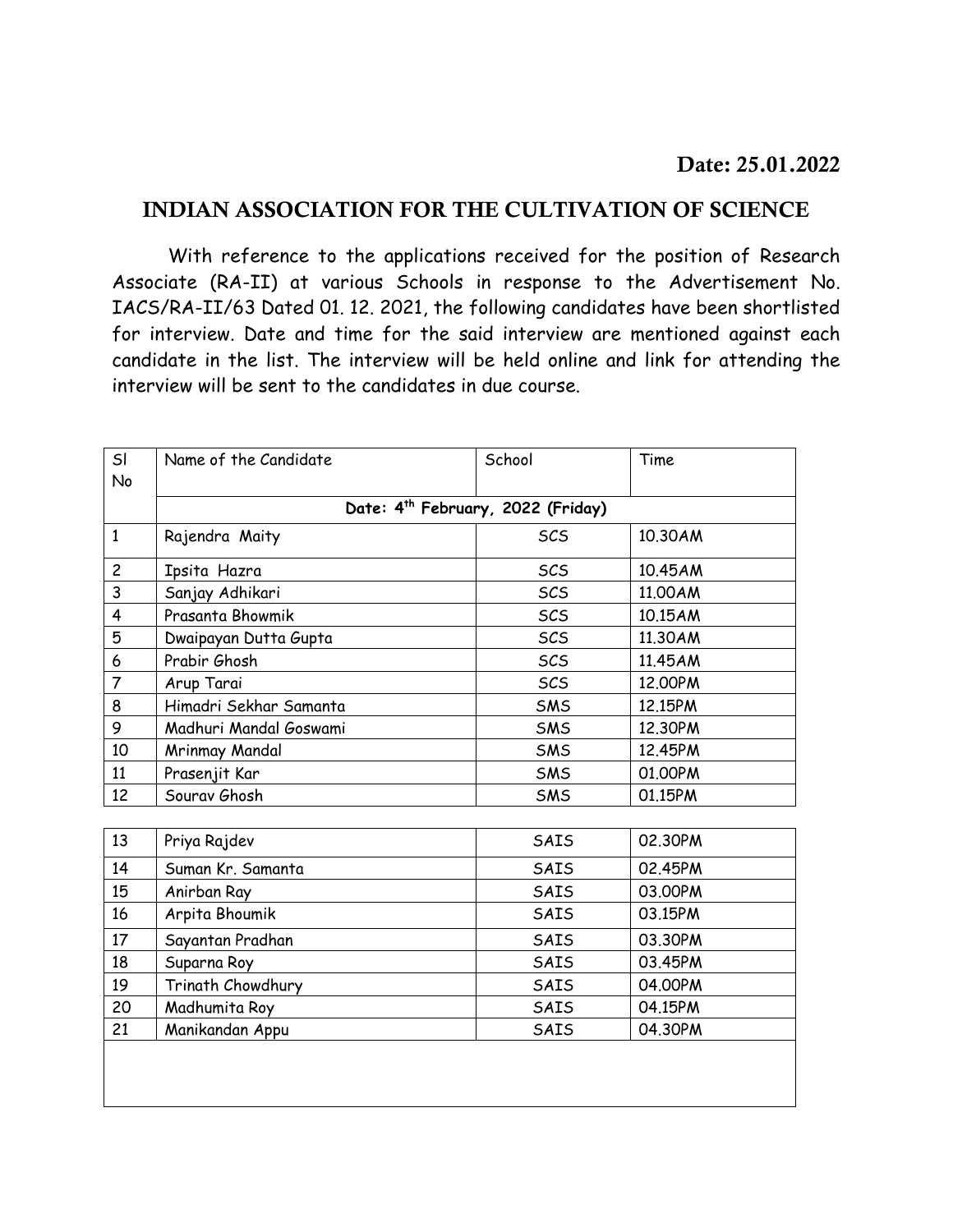## **INDIAN ASSOCIATION FOR THE CULTIVATION OF SCIENCE**

With reference to the applications received for the position of Research Associate (RA-II) at various Schools in response to the Advertisement No. IACS/RA-II/63 Dated 01. 12. 2021, the following candidates have been shortlisted for interview. Date and time for the said interview are mentioned against each candidate in the list. The interview will be held online and link for attending the interview will be sent to the candidates in due course.

| SI<br>No       | Name of the Candidate                         | School     | Time    |  |
|----------------|-----------------------------------------------|------------|---------|--|
|                | Date: 4 <sup>th</sup> February, 2022 (Friday) |            |         |  |
| $\mathbf{1}$   | Rajendra Maity                                | SCS        | 10.30AM |  |
| $\overline{c}$ | Ipsita Hazra                                  | SCS        | 10.45AM |  |
| 3              | Sanjay Adhikari                               | <b>SCS</b> | 11,00AM |  |
| 4              | Prasanta Bhowmik                              | SCS        | 10.15AM |  |
| 5              | Dwaipayan Dutta Gupta                         | <b>SCS</b> | 11.30AM |  |
| 6              | Prabir Ghosh                                  | <b>SCS</b> | 11.45AM |  |
| $\overline{7}$ | Arup Tarai                                    | SCS        | 12.00PM |  |
| 8              | Himadri Sekhar Samanta                        | SMS        | 12.15PM |  |
| 9              | Madhuri Mandal Goswami                        | SMS        | 12.30PM |  |
| 10             | Mrinmay Mandal                                | SMS        | 12.45PM |  |
| 11             | Prasenjit Kar                                 | SMS        | 01.00PM |  |
| 12             | Sourav Ghosh                                  | SMS        | 01.15PM |  |
|                |                                               |            |         |  |
| 13             | Priya Rajdev                                  | SAIS       | 02.30PM |  |
| 14             | Suman Kr. Samanta                             | SAIS       | 02.45PM |  |
| 15             | Anirban Ray                                   | SAIS       | 03.00PM |  |
| 16             | Arpita Bhoumik                                | SAIS       | 03.15PM |  |
| 17             | Sayantan Pradhan                              | SAIS       | 03.30PM |  |
| 18             | Suparna Roy                                   | SAIS       | 03.45PM |  |
| 19             | Trinath Chowdhury                             | SAIS       | 04.00PM |  |
| 20             | Madhumita Roy                                 | SAIS       | 04.15PM |  |
| 21             | Manikandan Appu                               | SAIS       | 04.30PM |  |
|                |                                               |            |         |  |